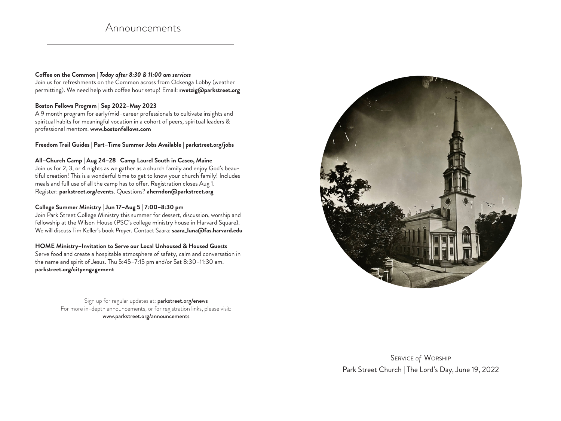# Announcements

#### **Coffee on the Common** | *Today after 8:30 & 11:00 am services*

Join us for refreshments on the Common across from Ockenga Lobby (weather permitting). We need help with coffee hour setup! Email: **rwetzig@parkstreet.org** 

#### **Boston Fellows Program** | **Sep 2022–May 2023**

A 9 month program for early/mid–career professionals to cultivate insights and spiritual habits for meaningful vocation in a cohort of peers, spiritual leaders & professional mentors. **www.bostonfellows.com**

#### **Freedom Trail Guides** | **Part–Time Summer Jobs Available** | **parkstreet.org/jobs**

#### **All–Church Camp** | **Aug 24–28** | **Camp Laurel South in Casco, Maine**

Join us for 2, 3, or 4 nights as we gather as a church family and enjoy God's beautiful creation! This is a wonderful time to get to know your church family! Includes meals and full use of all the camp has to offer. Registration closes Aug 1. Register: **parkstreet.org/events**. Questions? **aherndon@parkstreet.org**

### **College Summer Ministry** | **Jun 17–Aug 5** | **7:00–8:30 pm**

Join Park Street College Ministry this summer for dessert, discussion, worship and fellowship at the Wilson House (PSC's college ministry house in Harvard Square). We will discuss Tim Keller's book *Prayer*. Contact Saara: **saara\_luna@fas.harvard.edu**

## **HOME Ministry–Invitation to Serve our Local Unhoused & Housed Guests**

Serve food and create a hospitable atmosphere of safety, calm and conversation in the name and spirit of Jesus. Thu 5:45–7:15 pm and/or Sat 8:30–11:30 am. **parkstreet.org/cityengagement**

> Sign up for regular updates at: parkstreet.org/enews For more in-depth announcements, or for registration links, please visit: www.parkstreet.org/announcements



Service *of* Worship Park Street Church | The Lord's Day, June 19, 2022